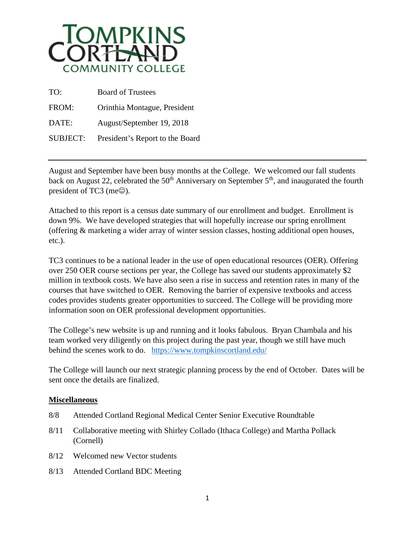

| TO:             | <b>Board of Trustees</b>        |
|-----------------|---------------------------------|
| FROM:           | Orinthia Montague, President    |
| DATE:           | August/September 19, 2018       |
| <b>SUBJECT:</b> | President's Report to the Board |

August and September have been busy months at the College. We welcomed our fall students back on August 22, celebrated the  $50<sup>th</sup>$  Anniversary on September  $5<sup>th</sup>$ , and inaugurated the fourth president of TC3 (me $\odot$ ).

Attached to this report is a census date summary of our enrollment and budget. Enrollment is down 9%. We have developed strategies that will hopefully increase our spring enrollment (offering & marketing a wider array of winter session classes, hosting additional open houses, etc.).

TC3 continues to be a national leader in the use of open educational resources (OER). Offering over 250 OER course sections per year, the College has saved our students approximately \$2 million in textbook costs. We have also seen a rise in success and retention rates in many of the courses that have switched to OER. Removing the barrier of expensive textbooks and access codes provides students greater opportunities to succeed. The College will be providing more information soon on OER professional development opportunities.

The College's new website is up and running and it looks fabulous. Bryan Chambala and his team worked very diligently on this project during the past year, though we still have much behind the scenes work to do. <https://www.tompkinscortland.edu/>

The College will launch our next strategic planning process by the end of October. Dates will be sent once the details are finalized.

## **Miscellaneous**

- 8/8 Attended Cortland Regional Medical Center Senior Executive Roundtable
- 8/11 Collaborative meeting with Shirley Collado (Ithaca College) and Martha Pollack (Cornell)
- 8/12 Welcomed new Vector students
- 8/13 Attended Cortland BDC Meeting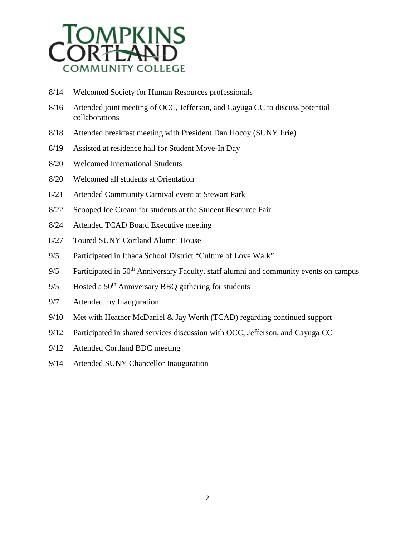

- 8/14 Welcomed Society for Human Resources professionals
- 8/16 Attended joint meeting of OCC, Jefferson, and Cayuga CC to discuss potential collaborations
- 8/18 Attended breakfast meeting with President Dan Hocoy (SUNY Erie)
- 8/19 Assisted at residence hall for Student Move-In Day
- 8/20 Welcomed International Students
- 8/20 Welcomed all students at Orientation
- 8/21 Attended Community Carnival event at Stewart Park
- 8/22 Scooped Ice Cream for students at the Student Resource Fair
- 8/24 Attended TCAD Board Executive meeting
- 8/27 Toured SUNY Cortland Alumni House
- 9/5 Participated in Ithaca School District "Culture of Love Walk"
- 9/5 Participated in 50<sup>th</sup> Anniversary Faculty, staff alumni and community events on campus
- 9/5 Hosted a  $50<sup>th</sup>$  Anniversary BBQ gathering for students
- 9/7 Attended my Inauguration
- 9/10 Met with Heather McDaniel & Jay Werth (TCAD) regarding continued support
- 9/12 Participated in shared services discussion with OCC, Jefferson, and Cayuga CC
- 9/12 Attended Cortland BDC meeting
- 9/14 Attended SUNY Chancellor Inauguration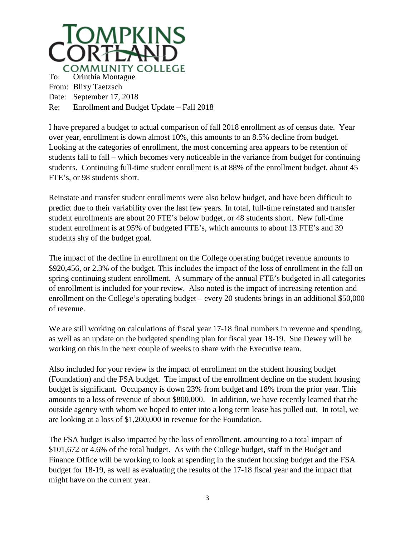

I have prepared a budget to actual comparison of fall 2018 enrollment as of census date. Year over year, enrollment is down almost 10%, this amounts to an 8.5% decline from budget. Looking at the categories of enrollment, the most concerning area appears to be retention of students fall to fall – which becomes very noticeable in the variance from budget for continuing students. Continuing full-time student enrollment is at 88% of the enrollment budget, about 45 FTE's, or 98 students short.

Reinstate and transfer student enrollments were also below budget, and have been difficult to predict due to their variability over the last few years. In total, full-time reinstated and transfer student enrollments are about 20 FTE's below budget, or 48 students short. New full-time student enrollment is at 95% of budgeted FTE's, which amounts to about 13 FTE's and 39 students shy of the budget goal.

The impact of the decline in enrollment on the College operating budget revenue amounts to \$920,456, or 2.3% of the budget. This includes the impact of the loss of enrollment in the fall on spring continuing student enrollment. A summary of the annual FTE's budgeted in all categories of enrollment is included for your review. Also noted is the impact of increasing retention and enrollment on the College's operating budget – every 20 students brings in an additional \$50,000 of revenue.

We are still working on calculations of fiscal year 17-18 final numbers in revenue and spending, as well as an update on the budgeted spending plan for fiscal year 18-19. Sue Dewey will be working on this in the next couple of weeks to share with the Executive team.

Also included for your review is the impact of enrollment on the student housing budget (Foundation) and the FSA budget. The impact of the enrollment decline on the student housing budget is significant. Occupancy is down 23% from budget and 18% from the prior year. This amounts to a loss of revenue of about \$800,000. In addition, we have recently learned that the outside agency with whom we hoped to enter into a long term lease has pulled out. In total, we are looking at a loss of \$1,200,000 in revenue for the Foundation.

The FSA budget is also impacted by the loss of enrollment, amounting to a total impact of \$101,672 or 4.6% of the total budget. As with the College budget, staff in the Budget and Finance Office will be working to look at spending in the student housing budget and the FSA budget for 18-19, as well as evaluating the results of the 17-18 fiscal year and the impact that might have on the current year.